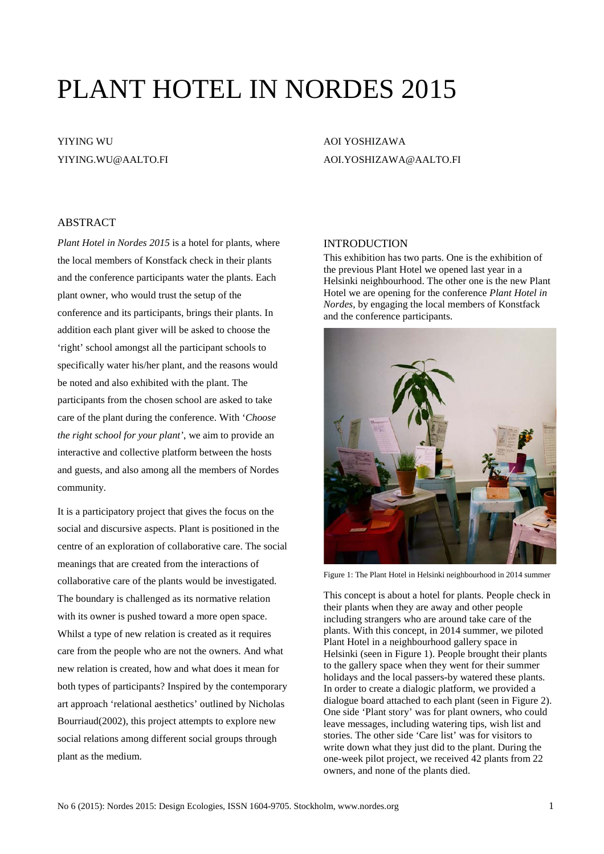# PLANT HOTEL IN NORDES 2015

# YIYING WU YIYING.WU@AALTO.FI

# AOI YOSHIZAWA AOI.YOSHIZAWA@AALTO.FI

## ABSTRACT

*Plant Hotel in Nordes 2015* is a hotel for plants, where the local members of Konstfack check in their plants and the conference participants water the plants. Each plant owner, who would trust the setup of the conference and its participants, brings their plants. In addition each plant giver will be asked to choose the 'right' school amongst all the participant schools to specifically water his/her plant, and the reasons would be noted and also exhibited with the plant. The participants from the chosen school are asked to take care of the plant during the conference. With '*Choose the right school for your plant'*, we aim to provide an interactive and collective platform between the hosts and guests, and also among all the members of Nordes community.

It is a participatory project that gives the focus on the social and discursive aspects. Plant is positioned in the centre of an exploration of collaborative care. The social meanings that are created from the interactions of collaborative care of the plants would be investigated. The boundary is challenged as its normative relation with its owner is pushed toward a more open space. Whilst a type of new relation is created as it requires care from the people who are not the owners. And what new relation is created, how and what does it mean for both types of participants? Inspired by the contemporary art approach 'relational aesthetics' outlined by Nicholas Bourriaud[\(2002\)](#page-1-0), this project attempts to explore new social relations among different social groups through plant as the medium.

#### **INTRODUCTION**

This exhibition has two parts. One is the exhibition of the previous Plant Hotel we opened last year in a Helsinki neighbourhood. The other one is the new Plant Hotel we are opening for the conference *Plant Hotel in Nordes*, by engaging the local members of Konstfack and the conference participants.



Figure 1: The Plant Hotel in Helsinki neighbourhood in 2014 summer

This concept is about a hotel for plants. People check in their plants when they are away and other people including strangers who are around take care of the plants. With this concept, in 2014 summer, we piloted Plant Hotel in a neighbourhood gallery space in Helsinki (seen in Figure 1). People brought their plants to the gallery space when they went for their summer holidays and the local passers-by watered these plants. In order to create a dialogic platform, we provided a dialogue board attached to each plant (seen in Figure 2). One side 'Plant story' was for plant owners, who could leave messages, including watering tips, wish list and stories. The other side 'Care list' was for visitors to write down what they just did to the plant. During the one-week pilot project, we received 42 plants from 22 owners, and none of the plants died.